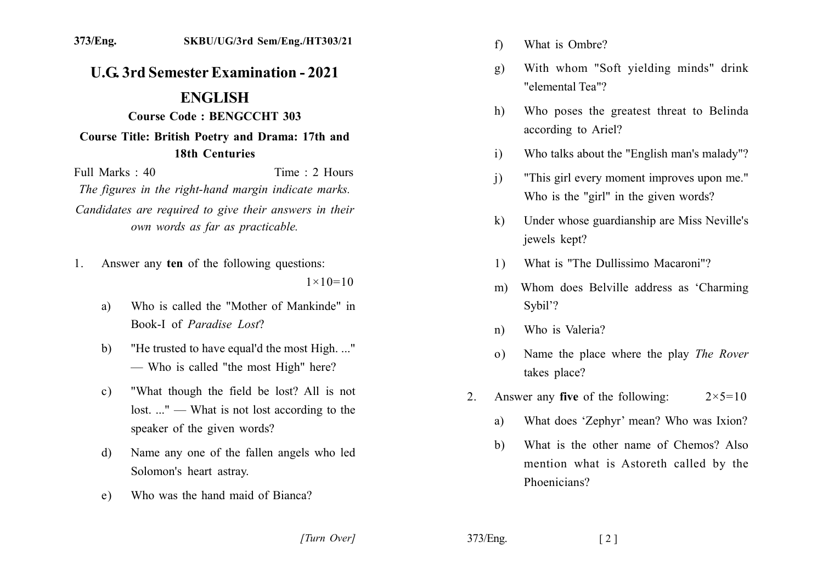## **U.G. 3rd Semester Examination - 2021**

## **ENGLISH**

## **Course Code: BENGCCHT 303**

## Course Title: British Poetry and Drama: 17th and **18th Centuries**

Full Marks  $\cdot$  40 Time  $\cdot$  2 Hours The figures in the right-hand margin indicate marks. Candidates are required to give their answers in their own words as far as practicable.

- Answer any ten of the following questions:  $1$  $1 \times 10 = 10$ 
	- Who is called the "Mother of Mankinde" in a) Book-I of Paradise Lost?
	- "He trusted to have equal'd the most High..."  $b)$ - Who is called "the most High" here?
	- "What though the field be lost? All is not  $c)$ lost...." — What is not lost according to the speaker of the given words?
	- Name any one of the fallen angels who led  $\mathbf{d}$ Solomon's heart astray.
	- Who was the hand maid of Bianca?  $e)$
- What is Ombre?  $f$
- With whom "Soft yielding minds" drink g) "elemental Tea"?
- Who poses the greatest threat to Belinda h) according to Ariel?
- Who talks about the "English man's malady"?  $i)$
- "This girl every moment improves upon me."  $\overline{1}$ Who is the "girl" in the given words?
- Under whose guardianship are Miss Neville's  $\bf k$ jewels kept?
- What is "The Dullissimo Macaroni"?  $1)$
- Whom does Belville address as 'Charming'  $m$ ) Sybil'?
- Who is Valeria?  $n)$
- Name the place where the play The Rover  $\Omega$ takes place?
- Answer any **five** of the following:  $2 \times 5 = 10$ 2.
	- What does 'Zephyr' mean? Who was Ixion? a)
	- What is the other name of Chemos? Also  $h$ mention what is Astoreth called by the Phoenicians?

[Turn Over]

373/Eng.